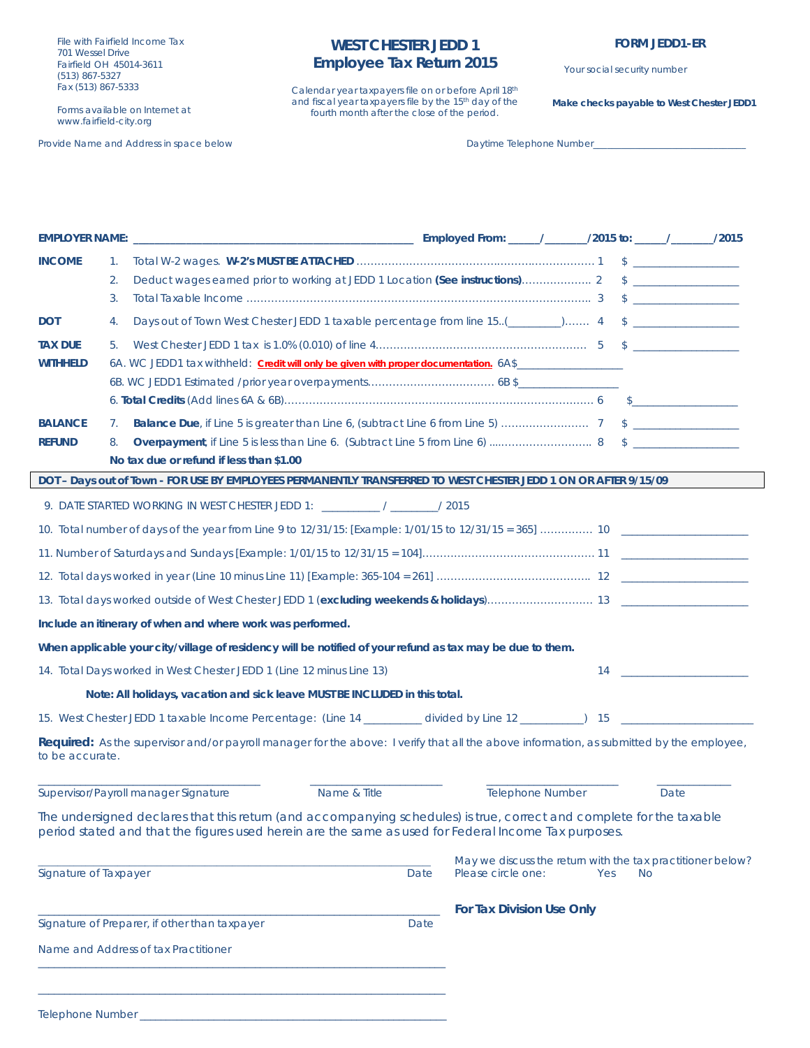File with Fairfield Income Tax 701 Wessel Drive Fairfield OH 45014-3611 (513) 867-5327 Fax (513) 867-5333

Forms available on Internet at www.fairfield-city.org

Provide Name and Address in space below Daytime Telephone Number\_ Daytime Telephone Number\_

# **WEST CHESTER JEDD 1 Employee Tax Return 2015**

Calendar year taxpayers file on or before April 18th and fiscal year taxpayers file by the 15<sup>th</sup> day of the fourth month after the close of the period.

Your social security number

**Make checks payable to West Chester JEDD1**

| <b>INCOME</b>                                                        | 1. |                                                                                                                                                                                                                              |              |      |                                                                                  |                         |     |                                                                                                               |  |
|----------------------------------------------------------------------|----|------------------------------------------------------------------------------------------------------------------------------------------------------------------------------------------------------------------------------|--------------|------|----------------------------------------------------------------------------------|-------------------------|-----|---------------------------------------------------------------------------------------------------------------|--|
|                                                                      | 2. |                                                                                                                                                                                                                              |              |      |                                                                                  |                         |     |                                                                                                               |  |
|                                                                      | 3. |                                                                                                                                                                                                                              |              |      |                                                                                  |                         |     |                                                                                                               |  |
| <b>DOT</b>                                                           | 4. | Days out of Town West Chester JEDD 1 taxable percentage from line 15(_______) 4 \$____________________                                                                                                                       |              |      |                                                                                  |                         |     |                                                                                                               |  |
| <b>TAX DUE</b>                                                       | 5. |                                                                                                                                                                                                                              |              |      |                                                                                  |                         |     |                                                                                                               |  |
| <b>WITHHELD</b>                                                      |    | 6A. WC JEDD1 tax withheld: Credit will only be given with proper documentation. 6A\$                                                                                                                                         |              |      |                                                                                  |                         |     |                                                                                                               |  |
|                                                                      |    |                                                                                                                                                                                                                              |              |      |                                                                                  |                         |     |                                                                                                               |  |
|                                                                      |    |                                                                                                                                                                                                                              |              |      |                                                                                  |                         |     |                                                                                                               |  |
| <b>BALANCE</b>                                                       | 7. |                                                                                                                                                                                                                              |              |      |                                                                                  |                         |     |                                                                                                               |  |
| <b>REFUND</b>                                                        | 8. | No tax due or refund if less than \$1.00                                                                                                                                                                                     |              |      |                                                                                  |                         |     |                                                                                                               |  |
|                                                                      |    | DOT - Days out of Town - FOR USE BY EMPLOYEES PERMANENTLY TRANSFERRED TO WEST CHESTER JEDD 1 ON OR AFTER 9/15/09                                                                                                             |              |      |                                                                                  |                         |     |                                                                                                               |  |
|                                                                      |    |                                                                                                                                                                                                                              |              |      |                                                                                  |                         |     |                                                                                                               |  |
|                                                                      |    |                                                                                                                                                                                                                              |              |      |                                                                                  |                         |     |                                                                                                               |  |
|                                                                      |    |                                                                                                                                                                                                                              |              |      |                                                                                  |                         |     |                                                                                                               |  |
|                                                                      |    |                                                                                                                                                                                                                              |              |      |                                                                                  |                         |     |                                                                                                               |  |
|                                                                      |    |                                                                                                                                                                                                                              |              |      |                                                                                  |                         |     |                                                                                                               |  |
|                                                                      |    | Include an itinerary of when and where work was performed.                                                                                                                                                                   |              |      |                                                                                  |                         |     |                                                                                                               |  |
|                                                                      |    | When applicable your city/village of residency will be notified of your refund as tax may be due to them.                                                                                                                    |              |      |                                                                                  |                         |     |                                                                                                               |  |
| 14. Total Days worked in West Chester JEDD 1 (Line 12 minus Line 13) |    |                                                                                                                                                                                                                              |              |      |                                                                                  |                         |     | $\begin{array}{c c c c c} \hline \textbf{14} & \textbf{14} & \textbf{14} & \textbf{15} \\ \hline \end{array}$ |  |
|                                                                      |    | Note: All holidays, vacation and sick leave MUST BE INCLUDED in this total.                                                                                                                                                  |              |      |                                                                                  |                         |     |                                                                                                               |  |
|                                                                      |    |                                                                                                                                                                                                                              |              |      |                                                                                  |                         |     |                                                                                                               |  |
| to be accurate.                                                      |    | Required: As the supervisor and/or payroll manager for the above: I verify that all the above information, as submitted by the employee,                                                                                     |              |      |                                                                                  |                         |     |                                                                                                               |  |
|                                                                      |    | Supervisor/Payroll manager Signature                                                                                                                                                                                         | Name & Title |      |                                                                                  | <b>Telephone Number</b> |     | Date                                                                                                          |  |
|                                                                      |    | The undersigned declares that this return (and accompanying schedules) is true, correct and complete for the taxable<br>period stated and that the figures used herein are the same as used for Federal Income Tax purposes. |              |      |                                                                                  |                         |     |                                                                                                               |  |
| Signature of Taxpayer                                                |    |                                                                                                                                                                                                                              |              | Date | May we discuss the return with the tax practitioner below?<br>Please circle one: |                         | Yes | <b>No</b>                                                                                                     |  |
|                                                                      |    |                                                                                                                                                                                                                              |              |      | For Tax Division Use Only                                                        |                         |     |                                                                                                               |  |
|                                                                      |    | Signature of Preparer, if other than taxpayer                                                                                                                                                                                |              | Date |                                                                                  |                         |     |                                                                                                               |  |
|                                                                      |    | Name and Address of tax Practitioner                                                                                                                                                                                         |              |      |                                                                                  |                         |     |                                                                                                               |  |
|                                                                      |    |                                                                                                                                                                                                                              |              |      |                                                                                  |                         |     |                                                                                                               |  |
| <b>Telephone Number</b>                                              |    |                                                                                                                                                                                                                              |              |      |                                                                                  |                         |     |                                                                                                               |  |